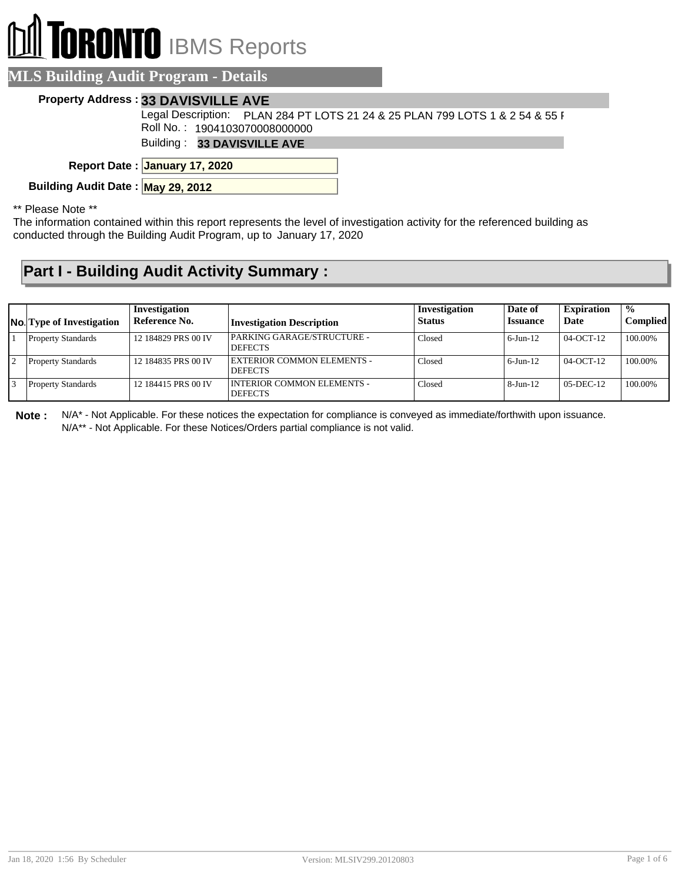## **RONTO** IBMS Reports

| <b>EVILS DUTUILLE AUGHT FROM SERVICE DETAILS</b> |                                                                              |  |
|--------------------------------------------------|------------------------------------------------------------------------------|--|
| <b>Property Address: 33 DAVISVILLE AVE</b>       |                                                                              |  |
|                                                  | Legal Description: PLAN 284 PT LOTS 21 24 & 25 PLAN 799 LOTS 1 & 2 54 & 55 F |  |

Roll No. : 1904103070008000000

Building : **33 DAVISVILLE AVE**

**January 17, 2020 Report Date :**

**Building Audit Date : May 29, 2012**

**MLS Building Audit Program - Details**

\*\* Please Note \*\*

The information contained within this report represents the level of investigation activity for the referenced building as conducted through the Building Audit Program, up to January 17, 2020

## **Part I - Building Audit Activity Summary :**

| <b>No.</b> Type of Investigation | Investigation<br>Reference No. | <b>Investigation Description</b>               | Investigation<br><b>Status</b> | Date of<br><b>Issuance</b> | <b>Expiration</b><br>Date | $\frac{1}{2}$<br><b>Complied</b> |
|----------------------------------|--------------------------------|------------------------------------------------|--------------------------------|----------------------------|---------------------------|----------------------------------|
| <b>Property Standards</b>        | 12 184829 PRS 00 IV            | PARKING GARAGE/STRUCTURE -<br><b>DEFECTS</b>   | Closed                         | $6$ -Jun- $12$             | 04-OCT-12                 | 100.00%                          |
| <b>Property Standards</b>        | 12 184835 PRS 00 IV            | EXTERIOR COMMON ELEMENTS -<br><b>DEFECTS</b>   | Closed                         | $6$ -Jun-12                | $04-OCT-12$               | 100.00%                          |
| <b>Property Standards</b>        | 12 184415 PRS 00 IV            | I INTERIOR COMMON ELEMENTS -<br><b>DEFECTS</b> | Closed                         | $8$ -Jun-12                | $05-DEC-12$               | 100.00%                          |

**Note :** N/A\* - Not Applicable. For these notices the expectation for compliance is conveyed as immediate/forthwith upon issuance. N/A\*\* - Not Applicable. For these Notices/Orders partial compliance is not valid.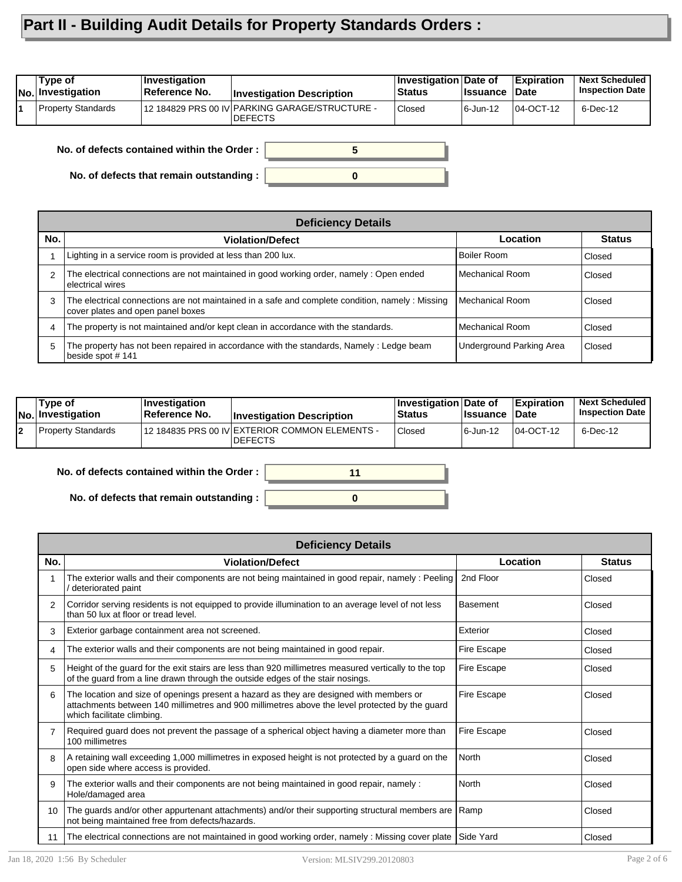## **Part II - Building Audit Details for Property Standards Orders :**

| Tvpe of<br>No. Investigation | ∣Investiqation<br>⊺Reference No. | <b>Investigation Description</b>                                 | Investigation Date of<br><b>Status</b> | ∣Issuance | <b>Expiration</b><br>∣Date | <b>Next Scheduled</b><br><b>Inspection Date</b> |
|------------------------------|----------------------------------|------------------------------------------------------------------|----------------------------------------|-----------|----------------------------|-------------------------------------------------|
| Property Standards           |                                  | 12 184829 PRS 00 IV PARKING GARAGE/STRUCTURE -<br><b>DEFECTS</b> | Closed                                 | 6-Jun-12  | 04-OCT-12                  | 6-Dec-12                                        |

**No. of defects contained within the Order :**

**No. of defects that remain outstanding :**

|                | <b>Deficiency Details</b>                                                                                                             |                                 |               |  |  |  |  |  |
|----------------|---------------------------------------------------------------------------------------------------------------------------------------|---------------------------------|---------------|--|--|--|--|--|
| No.            | <b>Violation/Defect</b>                                                                                                               | Location                        | <b>Status</b> |  |  |  |  |  |
|                | Lighting in a service room is provided at less than 200 lux.                                                                          | Boiler Room                     | Closed        |  |  |  |  |  |
| 2              | The electrical connections are not maintained in good working order, namely: Open ended<br>electrical wires                           | Mechanical Room                 | Closed        |  |  |  |  |  |
| 3              | The electrical connections are not maintained in a safe and complete condition, namely : Missing<br>cover plates and open panel boxes | l Mechanical Room               | Closed        |  |  |  |  |  |
| $\overline{4}$ | The property is not maintained and/or kept clean in accordance with the standards.                                                    | Mechanical Room                 | Closed        |  |  |  |  |  |
| 5              | The property has not been repaired in accordance with the standards, Namely: Ledge beam<br>beside spot #141                           | <b>Underground Parking Area</b> | Closed        |  |  |  |  |  |

**0**

**5**

| Type of<br> No. Investigation | <b>Investigation</b><br><b>∣Reference No.</b> | <b>Investigation Description</b>                                 | <b>∣Investigation Date of</b><br><b>Status</b> | <b>Issuance Date</b> | <b>Expiration</b> | <b>Next Scheduled</b><br><b>Inspection Date</b> |
|-------------------------------|-----------------------------------------------|------------------------------------------------------------------|------------------------------------------------|----------------------|-------------------|-------------------------------------------------|
| Property Standards            |                                               | 12 184835 PRS 00 IV EXTERIOR COMMON ELEMENTS -<br><b>DEFECTS</b> | Closed                                         | 6-Jun-12             | 04-OCT-12         | 6-Dec-12                                        |

**0**

**11**

**No. of defects contained within the Order :**

**No. of defects that remain outstanding :**

|               | <b>Deficiency Details</b>                                                                                                                                                                                               |                 |               |  |  |  |  |
|---------------|-------------------------------------------------------------------------------------------------------------------------------------------------------------------------------------------------------------------------|-----------------|---------------|--|--|--|--|
| No.           | <b>Violation/Defect</b>                                                                                                                                                                                                 | Location        | <b>Status</b> |  |  |  |  |
|               | The exterior walls and their components are not being maintained in good repair, namely: Peeling<br>deteriorated paint                                                                                                  | 2nd Floor       | Closed        |  |  |  |  |
| $\mathcal{P}$ | Corridor serving residents is not equipped to provide illumination to an average level of not less<br>than 50 lux at floor or tread level.                                                                              | <b>Basement</b> | Closed        |  |  |  |  |
| 3             | Exterior garbage containment area not screened.                                                                                                                                                                         | Exterior        | Closed        |  |  |  |  |
| 4             | The exterior walls and their components are not being maintained in good repair.                                                                                                                                        | Fire Escape     | Closed        |  |  |  |  |
| 5             | Height of the guard for the exit stairs are less than 920 millimetres measured vertically to the top<br>of the guard from a line drawn through the outside edges of the stair nosings.                                  | Fire Escape     | Closed        |  |  |  |  |
| 6             | The location and size of openings present a hazard as they are designed with members or<br>attachments between 140 millimetres and 900 millimetres above the level protected by the guard<br>which facilitate climbing. | Fire Escape     | Closed        |  |  |  |  |
|               | Required guard does not prevent the passage of a spherical object having a diameter more than<br>100 millimetres                                                                                                        | Fire Escape     | Closed        |  |  |  |  |
| 8             | A retaining wall exceeding 1,000 millimetres in exposed height is not protected by a guard on the<br>open side where access is provided.                                                                                | <b>North</b>    | Closed        |  |  |  |  |
| 9             | The exterior walls and their components are not being maintained in good repair, namely :<br>Hole/damaged area                                                                                                          | North           | Closed        |  |  |  |  |
| 10            | The guards and/or other appurtenant attachments) and/or their supporting structural members are<br>not being maintained free from defects/hazards.                                                                      | Ramp            | Closed        |  |  |  |  |
| 11            | The electrical connections are not maintained in good working order, namely : Missing cover plate                                                                                                                       | Side Yard       | Closed        |  |  |  |  |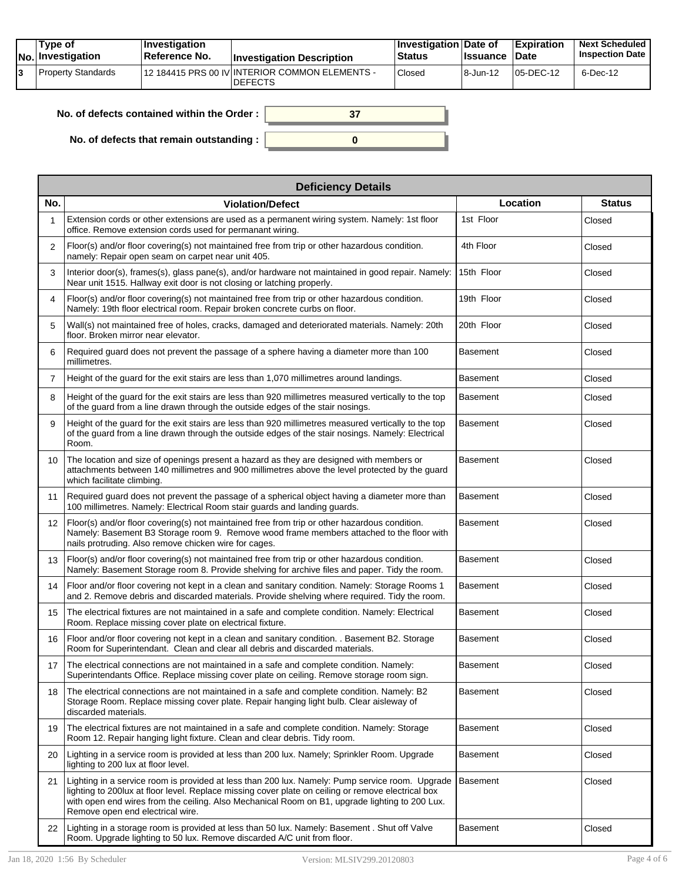| Tvpe of<br>No. Investigation | <b>Investigation</b><br>⊺Reference No. | <b>Investigation Description</b>                                 | <b>Investigation Date of</b><br>Status | <b>Issuance Date</b> | <b>Expiration</b> | <b>Next Scheduled</b><br><b>Inspection Date</b> |
|------------------------------|----------------------------------------|------------------------------------------------------------------|----------------------------------------|----------------------|-------------------|-------------------------------------------------|
| Property Standards           |                                        | 12 184415 PRS 00 IV INTERIOR COMMON ELEMENTS -<br><b>DEFECTS</b> | Closed                                 | 18-Jun-12            | $105$ -DEC-12     | 6-Dec-12                                        |

| No. of defects contained within the Order : $\vert$ |  |
|-----------------------------------------------------|--|
| No. of defects that remain outstanding :            |  |

|                | <b>Deficiency Details</b>                                                                                                                                                                                                                                                                                                                   |                 |               |
|----------------|---------------------------------------------------------------------------------------------------------------------------------------------------------------------------------------------------------------------------------------------------------------------------------------------------------------------------------------------|-----------------|---------------|
| No.            | <b>Violation/Defect</b>                                                                                                                                                                                                                                                                                                                     | Location        | <b>Status</b> |
|                | Extension cords or other extensions are used as a permanent wiring system. Namely: 1st floor<br>office. Remove extension cords used for permanant wiring.                                                                                                                                                                                   | 1st Floor       | Closed        |
| $\overline{2}$ | Floor(s) and/or floor covering(s) not maintained free from trip or other hazardous condition.<br>namely: Repair open seam on carpet near unit 405.                                                                                                                                                                                          | 4th Floor       | Closed        |
| 3              | Interior door(s), frames(s), glass pane(s), and/or hardware not maintained in good repair. Namely:<br>Near unit 1515. Hallway exit door is not closing or latching properly.                                                                                                                                                                | 15th Floor      | Closed        |
| 4              | Floor(s) and/or floor covering(s) not maintained free from trip or other hazardous condition.<br>Namely: 19th floor electrical room. Repair broken concrete curbs on floor.                                                                                                                                                                 | 19th Floor      | Closed        |
| 5              | Wall(s) not maintained free of holes, cracks, damaged and deteriorated materials. Namely: 20th<br>floor. Broken mirror near elevator.                                                                                                                                                                                                       | 20th Floor      | Closed        |
| 6              | Required guard does not prevent the passage of a sphere having a diameter more than 100<br>millimetres.                                                                                                                                                                                                                                     | <b>Basement</b> | Closed        |
| $\overline{7}$ | Height of the guard for the exit stairs are less than 1,070 millimetres around landings.                                                                                                                                                                                                                                                    | <b>Basement</b> | Closed        |
| 8              | Height of the guard for the exit stairs are less than 920 millimetres measured vertically to the top<br>of the guard from a line drawn through the outside edges of the stair nosings.                                                                                                                                                      | <b>Basement</b> | Closed        |
| 9              | Height of the guard for the exit stairs are less than 920 millimetres measured vertically to the top<br>of the guard from a line drawn through the outside edges of the stair nosings. Namely: Electrical<br>Room.                                                                                                                          | <b>Basement</b> | Closed        |
| 10             | The location and size of openings present a hazard as they are designed with members or<br>attachments between 140 millimetres and 900 millimetres above the level protected by the guard<br>which facilitate climbing.                                                                                                                     | <b>Basement</b> | Closed        |
| 11             | Required guard does not prevent the passage of a spherical object having a diameter more than<br>100 millimetres. Namely: Electrical Room stair guards and landing guards.                                                                                                                                                                  | <b>Basement</b> | Closed        |
| 12             | Floor(s) and/or floor covering(s) not maintained free from trip or other hazardous condition.<br>Namely: Basement B3 Storage room 9. Remove wood frame members attached to the floor with<br>nails protruding. Also remove chicken wire for cages.                                                                                          | <b>Basement</b> | Closed        |
| 13             | Floor(s) and/or floor covering(s) not maintained free from trip or other hazardous condition.<br>Namely: Basement Storage room 8. Provide shelving for archive files and paper. Tidy the room.                                                                                                                                              | <b>Basement</b> | Closed        |
| 14             | Floor and/or floor covering not kept in a clean and sanitary condition. Namely: Storage Rooms 1<br>and 2. Remove debris and discarded materials. Provide shelving where required. Tidy the room.                                                                                                                                            | <b>Basement</b> | Closed        |
| 15             | The electrical fixtures are not maintained in a safe and complete condition. Namely: Electrical<br>Room. Replace missing cover plate on electrical fixture.                                                                                                                                                                                 | <b>Basement</b> | Closed        |
| 16             | Floor and/or floor covering not kept in a clean and sanitary condition. . Basement B2. Storage<br>Room for Superintendant. Clean and clear all debris and discarded materials.                                                                                                                                                              | <b>Basement</b> | Closed        |
| 17             | The electrical connections are not maintained in a safe and complete condition. Namely:<br>Superintendants Office. Replace missing cover plate on ceiling. Remove storage room sign.                                                                                                                                                        | <b>Basement</b> | Closed        |
| 18             | The electrical connections are not maintained in a safe and complete condition. Namely: B2<br>Storage Room. Replace missing cover plate. Repair hanging light bulb. Clear aisleway of<br>discarded materials.                                                                                                                               | Basement        | Closed        |
| 19             | The electrical fixtures are not maintained in a safe and complete condition. Namely: Storage<br>Room 12. Repair hanging light fixture. Clean and clear debris. Tidy room.                                                                                                                                                                   | Basement        | Closed        |
| 20             | Lighting in a service room is provided at less than 200 lux. Namely; Sprinkler Room. Upgrade<br>lighting to 200 lux at floor level.                                                                                                                                                                                                         | Basement        | Closed        |
| 21             | Lighting in a service room is provided at less than 200 lux. Namely: Pump service room. Upgrade<br>lighting to 200lux at floor level. Replace missing cover plate on ceiling or remove electrical box<br>with open end wires from the ceiling. Also Mechanical Room on B1, upgrade lighting to 200 Lux.<br>Remove open end electrical wire. | <b>Basement</b> | Closed        |
| 22             | Lighting in a storage room is provided at less than 50 lux. Namely: Basement . Shut off Valve<br>Room. Upgrade lighting to 50 lux. Remove discarded A/C unit from floor.                                                                                                                                                                    | <b>Basement</b> | Closed        |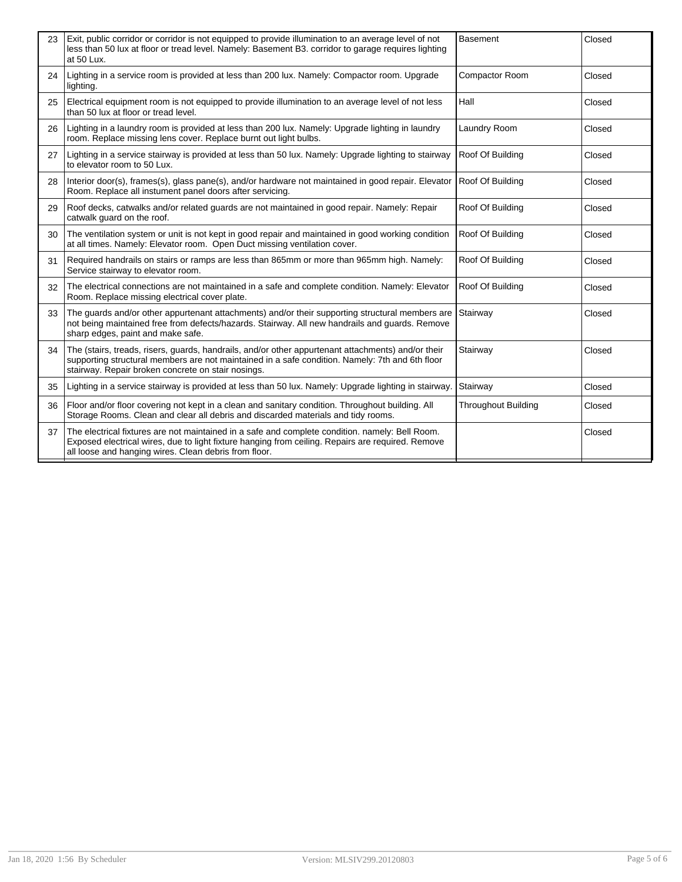| 23 | Exit, public corridor or corridor is not equipped to provide illumination to an average level of not<br>less than 50 lux at floor or tread level. Namely: Basement B3. corridor to garage requires lighting<br>at 50 Lux.                                     | <b>Basement</b>            | Closed |
|----|---------------------------------------------------------------------------------------------------------------------------------------------------------------------------------------------------------------------------------------------------------------|----------------------------|--------|
| 24 | Lighting in a service room is provided at less than 200 lux. Namely: Compactor room. Upgrade<br>lighting.                                                                                                                                                     | Compactor Room             | Closed |
| 25 | Electrical equipment room is not equipped to provide illumination to an average level of not less<br>than 50 lux at floor or tread level.                                                                                                                     | Hall                       | Closed |
| 26 | Lighting in a laundry room is provided at less than 200 lux. Namely: Upgrade lighting in laundry<br>room. Replace missing lens cover. Replace burnt out light bulbs.                                                                                          | Laundry Room               | Closed |
| 27 | Lighting in a service stairway is provided at less than 50 lux. Namely: Upgrade lighting to stairway<br>to elevator room to 50 Lux.                                                                                                                           | Roof Of Building           | Closed |
| 28 | Interior door(s), frames(s), glass pane(s), and/or hardware not maintained in good repair. Elevator<br>Room. Replace all instument panel doors after servicing.                                                                                               | Roof Of Building           | Closed |
| 29 | Roof decks, catwalks and/or related guards are not maintained in good repair. Namely: Repair<br>catwalk guard on the roof.                                                                                                                                    | Roof Of Building           | Closed |
| 30 | The ventilation system or unit is not kept in good repair and maintained in good working condition<br>at all times. Namely: Elevator room. Open Duct missing ventilation cover.                                                                               | Roof Of Building           | Closed |
| 31 | Required handrails on stairs or ramps are less than 865mm or more than 965mm high. Namely:<br>Service stairway to elevator room.                                                                                                                              | Roof Of Building           | Closed |
| 32 | The electrical connections are not maintained in a safe and complete condition. Namely: Elevator<br>Room. Replace missing electrical cover plate.                                                                                                             | Roof Of Building           | Closed |
| 33 | The guards and/or other appurtenant attachments) and/or their supporting structural members are<br>not being maintained free from defects/hazards. Stairway. All new handrails and guards. Remove<br>sharp edges, paint and make safe.                        | Stairway                   | Closed |
| 34 | The (stairs, treads, risers, guards, handrails, and/or other appurtenant attachments) and/or their<br>supporting structural members are not maintained in a safe condition. Namely: 7th and 6th floor<br>stairway. Repair broken concrete on stair nosings.   | Stairway                   | Closed |
| 35 | Lighting in a service stairway is provided at less than 50 lux. Namely: Upgrade lighting in stairway.                                                                                                                                                         | Stairway                   | Closed |
| 36 | Floor and/or floor covering not kept in a clean and sanitary condition. Throughout building. All<br>Storage Rooms. Clean and clear all debris and discarded materials and tidy rooms.                                                                         | <b>Throughout Building</b> | Closed |
| 37 | The electrical fixtures are not maintained in a safe and complete condition. namely: Bell Room.<br>Exposed electrical wires, due to light fixture hanging from ceiling. Repairs are required. Remove<br>all loose and hanging wires. Clean debris from floor. |                            | Closed |